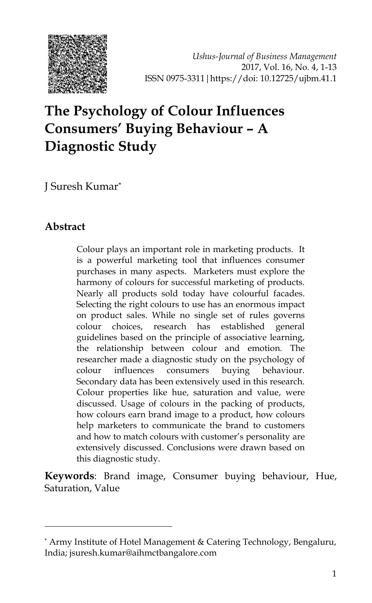

*Ushus-Journal of Business Management* 2017, Vol. 16, No. 4, 1-13 ISSN 0975-3311|https://doi: 10.12725/ujbm.41.1

# **The Psychology of Colour Influences Consumers' Buying Behaviour – A Diagnostic Study**

J Suresh Kumar\*

#### **Abstract**

-

Colour plays an important role in marketing products. It is a powerful marketing tool that influences consumer purchases in many aspects. Marketers must explore the harmony of colours for successful marketing of products. Nearly all products sold today have colourful facades. Selecting the right colours to use has an enormous impact on product sales. While no single set of rules governs colour choices, research has established general guidelines based on the principle of associative learning, the relationship between colour and emotion. The researcher made a diagnostic study on the psychology of colour influences consumers buying behaviour. Secondary data has been extensively used in this research. Colour properties like hue, saturation and value, were discussed. Usage of colours in the packing of products, how colours earn brand image to a product, how colours help marketers to communicate the brand to customers and how to match colours with customer's personality are extensively discussed. Conclusions were drawn based on this diagnostic study.

**Keywords**: Brand image, Consumer buying behaviour, Hue, Saturation, Value

<sup>\*</sup> Army Institute of Hotel Management & Catering Technology, Bengaluru, India; jsuresh.kumar@aihmctbangalore.com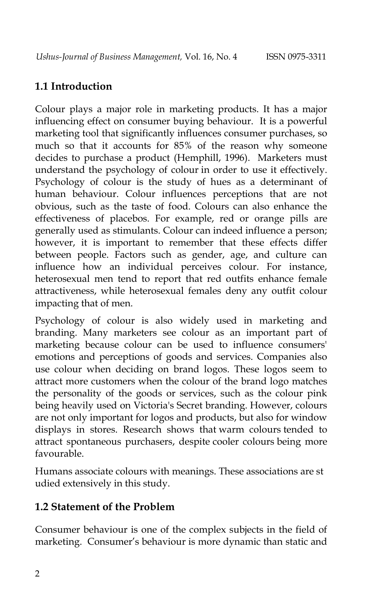## **1.1 Introduction**

Colour plays a major role in marketing products. It has a major influencing effect on consumer buying behaviour. It is a powerful marketing tool that significantly influences consumer purchases, so much so that it accounts for 85% of the reason why someone decides to purchase a product (Hemphill, 1996). Marketers must understand the psychology of colour in order to use it effectively. Psychology of colour is the study of hues as a determinant of human [behaviour.](https://en.wikipedia.org/wiki/Behavior) Colour influences [perceptions](https://en.wikipedia.org/wiki/Perceptions) that are not obvious, such as the taste of food. Colours can also enhance the effectiveness of [placebos.](https://en.wikipedia.org/wiki/Placebo) For example, red or orange pills are generally used as [stimulants.](https://en.wikipedia.org/wiki/Stimulant) Colour can indeed influence a person; however, it is important to remember that these effects differ between people. Factors such as gender, age, and culture can influence how an individual perceives colour. For instance, heterosexual men tend to report that red outfits enhance female attractiveness, while heterosexual females deny any outfit colour impacting that of men.

Psychology of colour is also widely used in [marketing](https://en.wikipedia.org/wiki/Marketing) and [branding.](https://en.wikipedia.org/wiki/Brands) Many marketers see colour as an important part of marketing because colour can be used to influence consumers' emotions and perceptions of goods and services. Companies also use colour when deciding on brand logos. These logos seem to attract more customers when the colour of the brand logo matches the personality of the goods or services, such as the colour pink being heavily used on Victoria's Secret branding. However, colours are not only important for logos and products, but also for window displays in stores. Research shows that [warm colours](https://en.wikipedia.org/wiki/Warm_color) tended to attract spontaneous purchasers, despite [cooler colours](https://en.wikipedia.org/wiki/Cool_colors) being more favourable.

Humans associate colours with meanings. These associations are st udied extensively in this study.

#### **1.2 Statement of the Problem**

Consumer behaviour is one of the complex subjects in the field of marketing. Consumer's behaviour is more dynamic than static and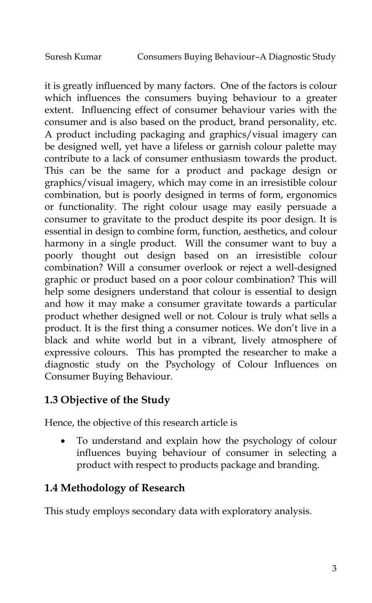it is greatly influenced by many factors. One of the factors is colour which influences the consumers buying behaviour to a greater extent. Influencing effect of consumer behaviour varies with the consumer and is also based on the product, brand personality, etc. A product including packaging and graphics/visual imagery can be designed well, yet have a lifeless or garnish colour palette may contribute to a lack of consumer enthusiasm towards the product. This can be the same for a product and package design or graphics/visual imagery, which may come in an irresistible colour combination, but is poorly designed in terms of form, ergonomics or functionality. The right colour usage may easily persuade a consumer to gravitate to the product despite its poor design. It is essential in design to combine form, function, aesthetics, and colour harmony in a single product. Will the consumer want to buy a poorly thought out design based on an irresistible colour combination? Will a consumer overlook or reject a well-designed graphic or product based on a poor colour combination? This will help some designers understand that colour is essential to design and how it may make a consumer gravitate towards a particular product whether designed well or not. Colour is truly what sells a product. It is the first thing a consumer notices. We don"t live in a black and white world but in a vibrant, lively atmosphere of expressive colours. This has prompted the researcher to make a diagnostic study on the Psychology of Colour Influences on Consumer Buying Behaviour.

# **1.3 Objective of the Study**

Hence, the objective of this research article is

 To understand and explain how the psychology of colour influences buying behaviour of consumer in selecting a product with respect to products package and branding.

## **1.4 Methodology of Research**

This study employs secondary data with exploratory analysis.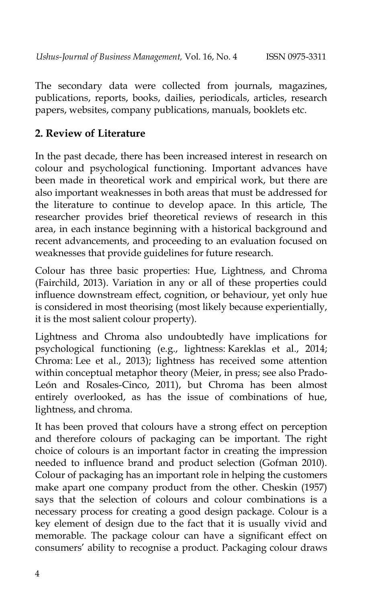The secondary data were collected from journals, magazines, publications, reports, books, dailies, periodicals, articles, research papers, websites, company publications, manuals, booklets etc.

#### **2. Review of Literature**

In the past decade, there has been increased interest in research on colour and psychological functioning. Important advances have been made in theoretical work and empirical work, but there are also important weaknesses in both areas that must be addressed for the literature to continue to develop apace. In this article, The researcher provides brief theoretical reviews of research in this area, in each instance beginning with a historical background and recent advancements, and proceeding to an evaluation focused on weaknesses that provide guidelines for future research.

Colour has three basic properties: Hue, Lightness, and Chroma [\(Fairchild, 2013\)](http://www.ncbi.nlm.nih.gov/pmc/articles/PMC4383146/#B30). Variation in any or all of these properties could influence downstream effect, cognition, or behaviour, yet only hue is considered in most theorising (most likely because experientially, it is the most salient colour property).

Lightness and Chroma also undoubtedly have implications for psychological functioning (e.g., lightness: [Kareklas et al., 2014;](http://www.ncbi.nlm.nih.gov/pmc/articles/PMC4383146/#B60) Chroma: [Lee et al., 2013\)](http://www.ncbi.nlm.nih.gov/pmc/articles/PMC4383146/#B65); lightness has received some attention within conceptual metaphor theory [\(Meier, in press;](http://www.ncbi.nlm.nih.gov/pmc/articles/PMC4383146/#B77) see also [Prado-](http://www.ncbi.nlm.nih.gov/pmc/articles/PMC4383146/#B85)[León and Rosales-Cinco, 2011\)](http://www.ncbi.nlm.nih.gov/pmc/articles/PMC4383146/#B85), but Chroma has been almost entirely overlooked, as has the issue of combinations of hue, lightness, and chroma.

It has been proved that colours have a strong effect on perception and therefore colours of packaging can be important. The right choice of colours is an important factor in creating the impression needed to influence brand and product selection (Gofman 2010). Colour of packaging has an important role in helping the customers make apart one company product from the other. Cheskin (1957) says that the selection of colours and colour combinations is a necessary process for creating a good design package. Colour is a key element of design due to the fact that it is usually vivid and memorable. The package colour can have a significant effect on consumers" ability to recognise a product. Packaging colour draws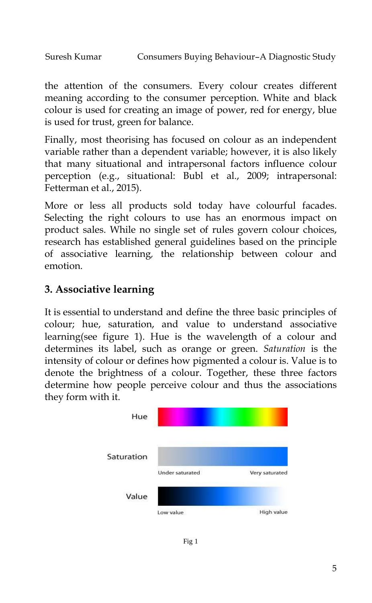```
Suresh Kumar Consumers Buying Behaviour–A Diagnostic Study
```
the attention of the consumers. Every colour creates different meaning according to the consumer perception. White and black colour is used for creating an image of power, red for energy, blue is used for trust, green for balance.

Finally, most theorising has focused on colour as an independent variable rather than a dependent variable; however, it is also likely that many situational and intrapersonal factors influence colour perception (e.g., situational: [Bubl et al., 2009;](http://www.ncbi.nlm.nih.gov/pmc/articles/PMC4383146/#B9) intrapersonal: [Fetterman et al., 2015\)](http://www.ncbi.nlm.nih.gov/pmc/articles/PMC4383146/#B33).

More or less all products sold today have colourful facades. Selecting the right colours to use has an enormous impact on product sales. While no single set of rules govern colour choices, research has established general guidelines based on the principle of associative learning*,* the relationship between colour and emotion.

# **3. Associative learning**

It is essential to understand and define the three basic principles of colour; hue, saturation, and value to understand associative learning(see figure 1). Hue is the wavelength of a colour and determines its label, such as orange or green. *Saturation* is the intensity of colour or defines how pigmented a colour is. Value is to denote the brightness of a colour. Together, these three factors determine how people perceive colour and thus the associations they form with it.



Fig 1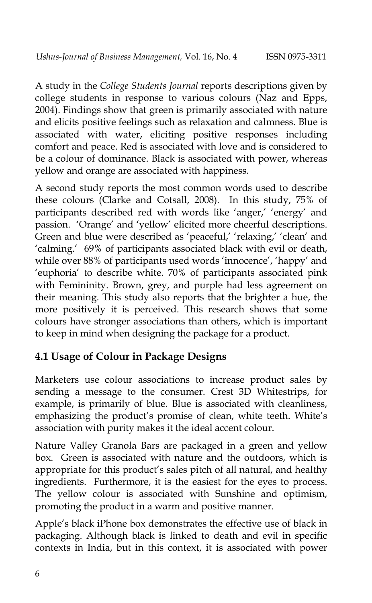A study in the *College Students Journal* reports descriptions given by college students in response to various colours (Naz and Epps, 2004). Findings show that green is primarily associated with nature and elicits positive feelings such as relaxation and calmness. Blue is associated with water, eliciting positive responses including comfort and peace. Red is associated with love and is considered to be a colour of dominance. Black is associated with power, whereas yellow and orange are associated with happiness.

A second study reports the most common words used to describe these colours (Clarke and Cotsall, 2008). In this study, 75% of participants described red with words like 'anger,' 'energy' and passion. "Orange" and "yellow" elicited more cheerful descriptions. Green and blue were described as 'peaceful,' 'relaxing,' 'clean' and 'calming.' 69% of participants associated black with evil or death, while over 88% of participants used words 'innocence', 'happy' and 'euphoria' to describe white. 70% of participants associated pink with Femininity. Brown, grey, and purple had less agreement on their meaning. This study also reports that the brighter a hue, the more positively it is perceived. This research shows that some colours have stronger associations than others, which is important to keep in mind when designing the package for a product.

#### **4.1 Usage of Colour in Package Designs**

Marketers use colour associations to increase product sales by sending a message to the consumer. Crest 3D Whitestrips, for example, is primarily of blue. Blue is associated with cleanliness, emphasizing the product's promise of clean, white teeth. White's association with purity makes it the ideal accent colour.

Nature Valley Granola Bars are packaged in a green and yellow box. Green is associated with nature and the outdoors, which is appropriate for this product's sales pitch of all natural, and healthy ingredients. Furthermore, it is the easiest for the eyes to process. The yellow colour is associated with Sunshine and optimism, promoting the product in a warm and positive manner.

Apple"s black iPhone box demonstrates the effective use of black in packaging. Although black is linked to death and evil in specific contexts in India, but in this context, it is associated with power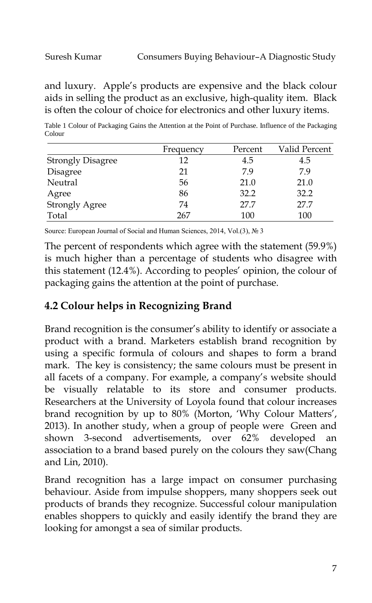and luxury. Apple"s products are expensive and the black colour aids in selling the product as an exclusive, high-quality item. Black is often the colour of choice for electronics and other luxury items.

Table 1 Colour of Packaging Gains the Attention at the Point of Purchase. Influence of the Packaging Colour

|                          | Frequency | Percent | Valid Percent |
|--------------------------|-----------|---------|---------------|
| <b>Strongly Disagree</b> | 12        | 4.5     | 4.5           |
| Disagree                 | 21        | 7.9     | 7.9           |
| Neutral                  | 56        | 21.0    | 21.0          |
| Agree                    | 86        | 32.2    | 32.2          |
| <b>Strongly Agree</b>    | 74        | 27.7    | 27.7          |
| Total                    | 267       | 100     | 100           |

Source: European Journal of Social and Human Sciences, 2014, Vol.(3), № 3

The percent of respondents which agree with the statement (59.9%) is much higher than a percentage of students who disagree with this statement (12.4%). According to peoples" opinion, the colour of packaging gains the attention at the point of purchase.

## **4.2 Colour helps in Recognizing Brand**

Brand recognition is the consumer's ability to identify or associate a product with a brand. Marketers establish brand recognition by using a specific formula of colours and shapes to form a brand mark. The key is consistency; the same colours must be present in all facets of a company. For example, a company's website should be visually relatable to its store and consumer products. Researchers at the University of Loyola found that colour increases brand recognition by up to 80% (Morton, "Why Colour Matters", 2013). In another study, when a group of people were Green and shown 3-second advertisements, over 62% developed an association to a brand based purely on the colours they saw(Chang and Lin, 2010).

Brand recognition has a large impact on consumer purchasing behaviour. Aside from impulse shoppers, many shoppers seek out products of brands they recognize. Successful colour manipulation enables shoppers to quickly and easily identify the brand they are looking for amongst a sea of similar products.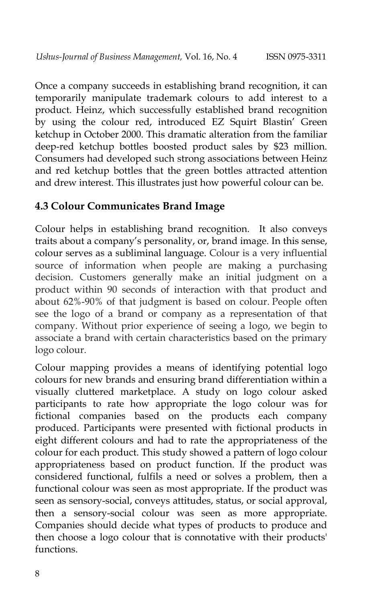Once a company succeeds in establishing brand recognition, it can temporarily manipulate trademark colours to add interest to a product. Heinz, which successfully established brand recognition by using the colour red, introduced EZ Squirt Blastin" Green ketchup in October 2000. This dramatic alteration from the familiar deep-red ketchup bottles boosted product sales by \$23 million. Consumers had developed such strong associations between Heinz and red ketchup bottles that the green bottles attracted attention and drew interest. This illustrates just how powerful colour can be.

#### **4.3 Colour Communicates Brand Image**

Colour helps in establishing brand recognition. It also conveys traits about a company"s personality, or, brand image. In this sense, colour serves as a subliminal language. Colour is a very influential source of information when people are making a purchasing decision. Customers generally make an initial judgment on a product within 90 seconds of interaction with that product and about 62%-90% of that judgment is based on colour. People often see the logo of a brand or company as a representation of that company. Without prior experience of seeing a logo, we begin to associate a brand with certain characteristics based on the primary logo colour.

Colour mapping provides a means of identifying potential logo colours for new brands and ensuring brand differentiation within a visually cluttered marketplace. A study on logo colour asked participants to rate how appropriate the logo colour was for fictional companies based on the products each company produced. Participants were presented with fictional products in eight different colours and had to rate the appropriateness of the colour for each product. This study showed a pattern of logo colour appropriateness based on product function. If the product was considered functional, fulfils a need or solves a problem, then a functional colour was seen as most appropriate. If the product was seen as sensory-social, conveys attitudes, status, or social approval, then a sensory-social colour was seen as more appropriate. Companies should decide what types of products to produce and then choose a logo colour that is connotative with their products' functions.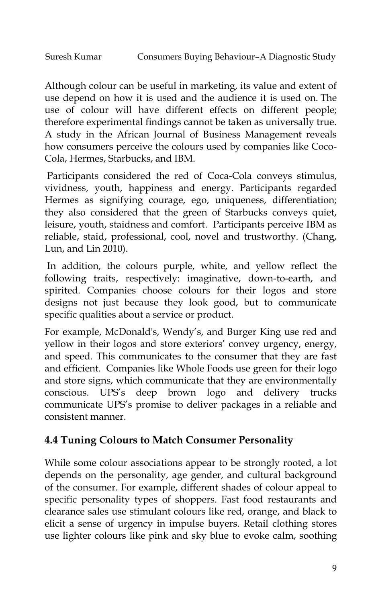Although colour can be useful in marketing, its value and extent of use depend on how it is used and the audience it is used on. The use of colour will have different effects on different people; therefore experimental findings cannot be taken as universally true. A study in the African Journal of Business Management reveals how consumers perceive the colours used by companies like Coco-Cola, Hermes, Starbucks, and IBM.

Participants considered the red of Coca-Cola conveys stimulus, vividness, youth, happiness and energy. Participants regarded Hermes as signifying courage, ego, uniqueness, differentiation; they also considered that the green of Starbucks conveys quiet, leisure, youth, staidness and comfort. Participants perceive IBM as reliable, staid, professional, cool, novel and trustworthy. (Chang, Lun, and Lin 2010).

In addition, the colours purple, white, and yellow reflect the following traits, respectively: imaginative, down-to-earth, and spirited. Companies choose colours for their logos and store designs not just because they look good, but to communicate specific qualities about a service or product.

For example, McDonald's, Wendy"s, and Burger King use red and yellow in their logos and store exteriors' convey urgency, energy, and speed. This communicates to the consumer that they are fast and efficient. Companies like Whole Foods use green for their logo and store signs, which communicate that they are environmentally conscious. UPS"s deep brown logo and delivery trucks communicate UPS"s promise to deliver packages in a reliable and consistent manner.

# **4.4 Tuning Colours to Match Consumer Personality**

While some colour associations appear to be strongly rooted, a lot depends on the personality, age gender, and cultural background of the consumer. For example, different shades of colour appeal to specific personality types of shoppers. Fast food restaurants and clearance sales use stimulant colours like red, orange, and black to elicit a sense of urgency in impulse buyers. Retail clothing stores use lighter colours like pink and sky blue to evoke calm, soothing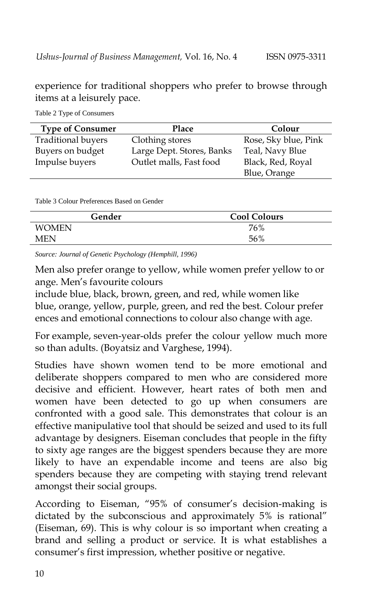experience for traditional shoppers who prefer to browse through items at a leisurely pace.

| <b>Type of Consumer</b>   | Place                     | Colour               |
|---------------------------|---------------------------|----------------------|
| <b>Traditional buyers</b> | Clothing stores           | Rose, Sky blue, Pink |
| Buyers on budget          | Large Dept. Stores, Banks | Teal, Navy Blue      |
| Impulse buyers            | Outlet malls, Fast food   | Black, Red, Royal    |
|                           |                           | Blue, Orange         |

Table 2 Type of Consumers

Table 3 Colour Preferences Based on Gender

| Gender       | <b>Cool Colours</b> |  |  |
|--------------|---------------------|--|--|
| <b>WOMEN</b> | 76%                 |  |  |
| MEN          | 56%                 |  |  |

*Source: Journal of Genetic Psychology (Hemphill, 1996)*

Men also prefer orange to yellow, while women prefer yellow to or ange. Men"s favourite colours

include blue, black, brown, green, and red, while women like blue, orange, yellow, purple, green, and red the best. Colour prefer ences and emotional connections to colour also change with age.

For example, seven-year-olds prefer the colour yellow much more so than adults. (Boyatsiz and Varghese, 1994).

Studies have shown women tend to be more emotional and deliberate shoppers compared to men who are considered more decisive and efficient. However, heart rates of both men and women have been detected to go up when consumers are confronted with a good sale. This demonstrates that colour is an effective manipulative tool that should be seized and used to its full advantage by designers. Eiseman concludes that people in the fifty to sixty age ranges are the biggest spenders because they are more likely to have an expendable income and teens are also big spenders because they are competing with staying trend relevant amongst their social groups.

According to Eiseman, "95% of consumer's decision-making is dictated by the subconscious and approximately 5% is rational" (Eiseman, 69). This is why colour is so important when creating a brand and selling a product or service. It is what establishes a consumer"s first impression, whether positive or negative.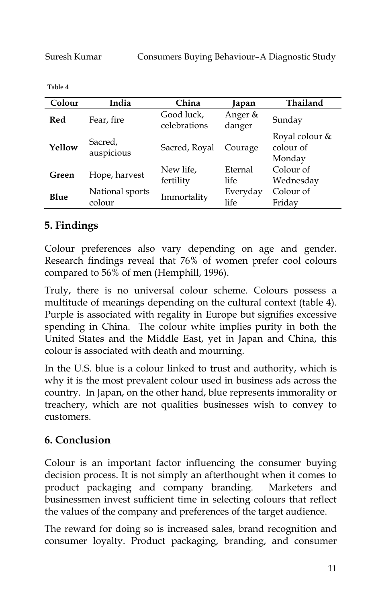Table 4

| Colour | India                     | China                      | Japan             | Thailand                              |
|--------|---------------------------|----------------------------|-------------------|---------------------------------------|
| Red    | Fear, fire                | Good luck,<br>celebrations | Anger &<br>danger | Sunday                                |
| Yellow | Sacred,<br>auspicious     | Sacred, Royal              | Courage           | Royal colour &<br>colour of<br>Monday |
| Green  | Hope, harvest             | New life,<br>fertility     | Eternal<br>life   | Colour of<br>Wednesday                |
| Blue   | National sports<br>colour | Immortality                | Everyday<br>life  | Colour of<br>Friday                   |

### **5. Findings**

Colour preferences also vary depending on age and gender. Research findings reveal that 76% of women prefer cool colours compared to 56% of men (Hemphill, 1996).

Truly, there is no universal colour scheme. Colours possess a multitude of meanings depending on the cultural context (table 4). Purple is associated with regality in Europe but signifies excessive spending in China. The colour white implies purity in both the United States and the Middle East, yet in Japan and China, this colour is associated with death and mourning.

In the U.S. blue is a colour linked to trust and authority, which is why it is the most prevalent colour used in business ads across the country. In Japan, on the other hand, blue represents immorality or treachery, which are not qualities businesses wish to convey to customers.

# **6. Conclusion**

Colour is an important factor influencing the consumer buying decision process. It is not simply an afterthought when it comes to product packaging and company branding. Marketers and businessmen invest sufficient time in selecting colours that reflect the values of the company and preferences of the target audience.

The reward for doing so is increased sales, brand recognition and consumer loyalty. Product packaging, branding, and consumer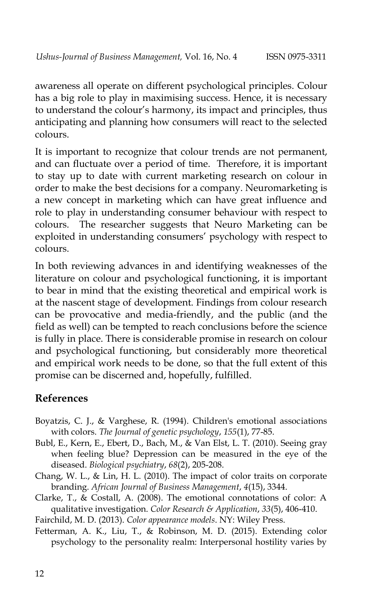awareness all operate on different psychological principles. Colour has a big role to play in maximising success. Hence, it is necessary to understand the colour's harmony, its impact and principles, thus anticipating and planning how consumers will react to the selected colours.

It is important to recognize that colour trends are not permanent, and can fluctuate over a period of time. Therefore, it is important to stay up to date with current marketing research on colour in order to make the best decisions for a company. Neuromarketing is a new concept in marketing which can have great influence and role to play in understanding consumer behaviour with respect to colours. The researcher suggests that Neuro Marketing can be exploited in understanding consumers' psychology with respect to colours.

In both reviewing advances in and identifying weaknesses of the literature on colour and psychological functioning, it is important to bear in mind that the existing theoretical and empirical work is at the nascent stage of development. Findings from colour research can be provocative and media-friendly, and the public (and the field as well) can be tempted to reach conclusions before the science is fully in place. There is considerable promise in research on colour and psychological functioning, but considerably more theoretical and empirical work needs to be done, so that the full extent of this promise can be discerned and, hopefully, fulfilled.

## **References**

- Boyatzis, C. J., & Varghese, R. (1994). Children's emotional associations with colors. *The Journal of genetic psychology*, *155*(1), 77-85.
- Bubl, E., Kern, E., Ebert, D., Bach, M., & Van Elst, L. T. (2010). Seeing gray when feeling blue? Depression can be measured in the eye of the diseased. *Biological psychiatry*, *68*(2), 205-208.
- Chang, W. L., & Lin, H. L. (2010). The impact of color traits on corporate branding. *African Journal of Business Management*, *4*(15), 3344.
- Clarke, T., & Costall, A. (2008). The emotional connotations of color: A qualitative investigation. *Color Research & Application*, *33*(5), 406-410.

Fairchild, M. D. (2013). *Color appearance models*. NY: Wiley Press.

Fetterman, A. K., Liu, T., & Robinson, M. D. (2015). Extending color psychology to the personality realm: Interpersonal hostility varies by